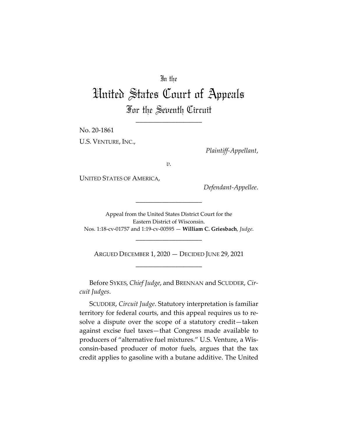# In the

# United States Court of Appeals For the Seventh Circuit

\_\_\_\_\_\_\_\_\_\_\_\_\_\_\_\_\_\_\_\_

No. 20-1861

U.S. VENTURE, INC.,

*Plaintiff-Appellant*,

*v.*

UNITED STATES OF AMERICA,

*Defendant-Appellee*.

Appeal from the United States District Court for the Eastern District of Wisconsin. Nos. 1:18-cv-01757 and 1:19-cv-00595 — **William C. Griesbach**, *Judge*.

\_\_\_\_\_\_\_\_\_\_\_\_\_\_\_\_\_\_\_\_

ARGUED DECEMBER 1, 2020 — DECIDED JUNE 29, 2021 \_\_\_\_\_\_\_\_\_\_\_\_\_\_\_\_\_\_\_\_

\_\_\_\_\_\_\_\_\_\_\_\_\_\_\_\_\_\_\_\_

Before SYKES, *Chief Judge*, and BRENNAN and SCUDDER, *Circuit Judges*.

SCUDDER, *Circuit Judge*. Statutory interpretation is familiar territory for federal courts, and this appeal requires us to resolve a dispute over the scope of a statutory credit—taken against excise fuel taxes—that Congress made available to producers of "alternative fuel mixtures." U.S. Venture, a Wisconsin-based producer of motor fuels, argues that the tax credit applies to gasoline with a butane additive. The United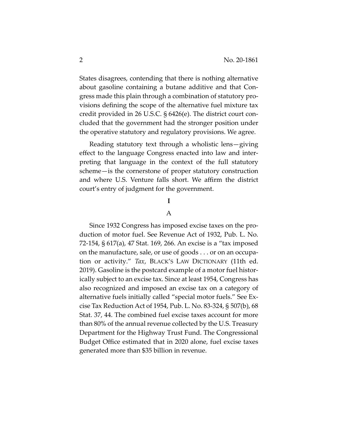States disagrees, contending that there is nothing alternative about gasoline containing a butane additive and that Congress made this plain through a combination of statutory provisions defining the scope of the alternative fuel mixture tax credit provided in 26 U.S.C. § 6426(e). The district court concluded that the government had the stronger position under the operative statutory and regulatory provisions. We agree.

Reading statutory text through a wholistic lens—giving effect to the language Congress enacted into law and interpreting that language in the context of the full statutory scheme—is the cornerstone of proper statutory construction and where U.S. Venture falls short. We affirm the district court's entry of judgment for the government.

## **I**

### A

Since 1932 Congress has imposed excise taxes on the production of motor fuel. See Revenue Act of 1932, Pub. L. No. 72-154, § 617(a), 47 Stat. 169, 266. An excise is a "tax imposed on the manufacture, sale, or use of goods . . . or on an occupation or activity." *Tax*, BLACK'S LAW DICTIONARY (11th ed. 2019). Gasoline is the postcard example of a motor fuel historically subject to an excise tax. Since at least 1954, Congress has also recognized and imposed an excise tax on a category of alternative fuels initially called "special motor fuels." See Excise Tax Reduction Act of 1954, Pub. L. No. 83-324, § 507(b), 68 Stat. 37, 44. The combined fuel excise taxes account for more than 80% of the annual revenue collected by the U.S. Treasury Department for the Highway Trust Fund. The Congressional Budget Office estimated that in 2020 alone, fuel excise taxes generated more than \$35 billion in revenue.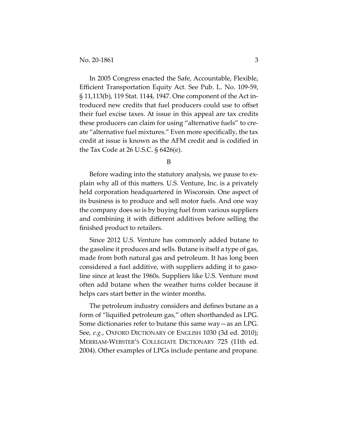In 2005 Congress enacted the Safe, Accountable, Flexible, Efficient Transportation Equity Act. See Pub. L. No. 109-59, § 11,113(b), 119 Stat. 1144, 1947. One component of the Act introduced new credits that fuel producers could use to offset their fuel excise taxes. At issue in this appeal are tax credits these producers can claim for using "alternative fuels" to create "alternative fuel mixtures." Even more specifically, the tax credit at issue is known as the AFM credit and is codified in the Tax Code at 26 U.S.C. § 6426(e).

B

Before wading into the statutory analysis, we pause to explain why all of this matters. U.S. Venture, Inc. is a privately held corporation headquartered in Wisconsin. One aspect of its business is to produce and sell motor fuels. And one way the company does so is by buying fuel from various suppliers and combining it with different additives before selling the finished product to retailers.

Since 2012 U.S. Venture has commonly added butane to the gasoline it produces and sells. Butane is itself a type of gas, made from both natural gas and petroleum. It has long been considered a fuel additive, with suppliers adding it to gasoline since at least the 1960s. Suppliers like U.S. Venture most often add butane when the weather turns colder because it helps cars start better in the winter months.

The petroleum industry considers and defines butane as a form of "liquified petroleum gas," often shorthanded as LPG. Some dictionaries refer to butane this same way—as an LPG. See, *e.g.*, OXFORD DICTIONARY OF ENGLISH 1030 (3d ed. 2010); MERRIAM-WEBSTER'S COLLEGIATE DICTIONARY 725 (11th ed. 2004). Other examples of LPGs include pentane and propane.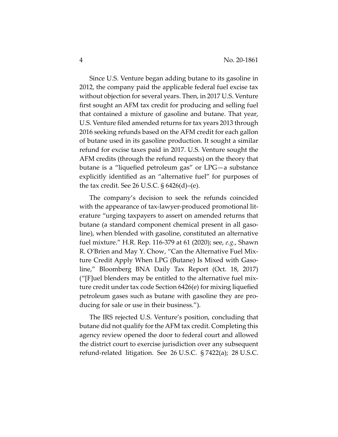Since U.S. Venture began adding butane to its gasoline in 2012, the company paid the applicable federal fuel excise tax without objection for several years. Then, in 2017 U.S. Venture first sought an AFM tax credit for producing and selling fuel that contained a mixture of gasoline and butane. That year, U.S. Venture filed amended returns for tax years 2013 through 2016 seeking refunds based on the AFM credit for each gallon of butane used in its gasoline production. It sought a similar refund for excise taxes paid in 2017. U.S. Venture sought the AFM credits (through the refund requests) on the theory that butane is a "liquefied petroleum gas" or LPG—a substance explicitly identified as an "alternative fuel" for purposes of the tax credit. See 26 U.S.C. § 6426(d)–(e).

The company's decision to seek the refunds coincided with the appearance of tax-lawyer-produced promotional literature "urging taxpayers to assert on amended returns that butane (a standard component chemical present in all gasoline), when blended with gasoline, constituted an alternative fuel mixture." H.R. Rep. 116-379 at 61 (2020); see, *e.g.*, Shawn R. O'Brien and May Y. Chow, "Can the Alternative Fuel Mixture Credit Apply When LPG (Butane) Is Mixed with Gasoline," Bloomberg BNA Daily Tax Report (Oct. 18, 2017) ("[F]uel blenders may be entitled to the alternative fuel mixture credit under tax code Section 6426(e) for mixing liquefied petroleum gases such as butane with gasoline they are producing for sale or use in their business.").

The IRS rejected U.S. Venture's position, concluding that butane did not qualify for the AFM tax credit. Completing this agency review opened the door to federal court and allowed the district court to exercise jurisdiction over any subsequent refund-related litigation. See 26 U.S.C. § 7422(a); 28 U.S.C.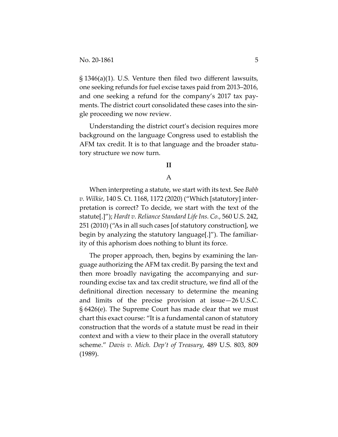§ 1346(a)(1). U.S. Venture then filed two different lawsuits, one seeking refunds for fuel excise taxes paid from 2013–2016, and one seeking a refund for the company's 2017 tax payments. The district court consolidated these cases into the single proceeding we now review.

Understanding the district court's decision requires more background on the language Congress used to establish the AFM tax credit. It is to that language and the broader statutory structure we now turn.

## **II**

## A

When interpreting a statute, we start with its text. See *Babb v. Wilkie*, 140 S. Ct. 1168, 1172 (2020) ("Which [statutory] interpretation is correct? To decide, we start with the text of the statute[.]"); *Hardt v. Reliance Standard Life Ins. Co.*, 560 U.S. 242, 251 (2010) ("As in all such cases [of statutory construction], we begin by analyzing the statutory language[.]"). The familiarity of this aphorism does nothing to blunt its force.

The proper approach, then, begins by examining the language authorizing the AFM tax credit. By parsing the text and then more broadly navigating the accompanying and surrounding excise tax and tax credit structure, we find all of the definitional direction necessary to determine the meaning and limits of the precise provision at issue—26 U.S.C. § 6426(e). The Supreme Court has made clear that we must chart this exact course: "It is a fundamental canon of statutory construction that the words of a statute must be read in their context and with a view to their place in the overall statutory scheme." *Davis v. Mich. Dep't of Treasury*, 489 U.S. 803, 809 (1989).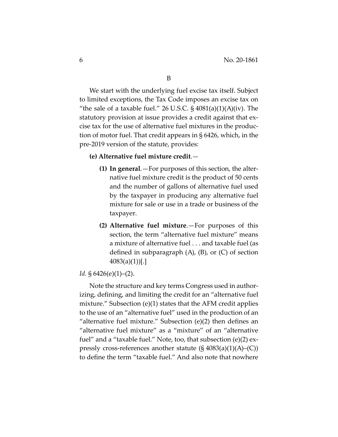We start with the underlying fuel excise tax itself. Subject to limited exceptions, the Tax Code imposes an excise tax on "the sale of a taxable fuel." 26 U.S.C.  $\S$  4081(a)(1)(A)(iv). The statutory provision at issue provides a credit against that excise tax for the use of alternative fuel mixtures in the production of motor fuel. That credit appears in § 6426, which, in the pre-2019 version of the statute, provides:

## **(e) Alternative fuel mixture credit**.—

- **(1) In general**.—For purposes of this section, the alternative fuel mixture credit is the product of 50 cents and the number of gallons of alternative fuel used by the taxpayer in producing any alternative fuel mixture for sale or use in a trade or business of the taxpayer.
- **(2) Alternative fuel mixture**.—For purposes of this section, the term "alternative fuel mixture" means a mixture of alternative fuel . . . and taxable fuel (as defined in subparagraph  $(A)$ ,  $(B)$ , or  $(C)$  of section  $4083(a)(1))$ [.]

#### *Id.* § 6426(e)(1)–(2).

Note the structure and key terms Congress used in authorizing, defining, and limiting the credit for an "alternative fuel mixture." Subsection (e)(1) states that the AFM credit applies to the use of an "alternative fuel" used in the production of an "alternative fuel mixture." Subsection (e)(2) then defines an "alternative fuel mixture" as a "mixture" of an "alternative fuel" and a "taxable fuel." Note, too, that subsection (e)(2) expressly cross-references another statute  $(S 4083(a)(1)(A)–(C))$ to define the term "taxable fuel." And also note that nowhere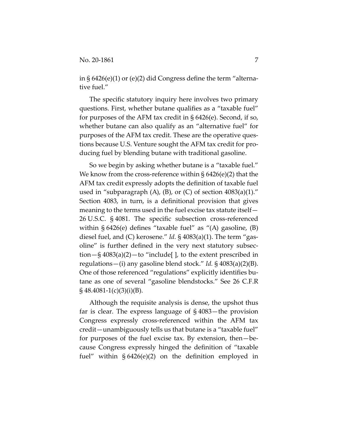in § 6426(e)(1) or (e)(2) did Congress define the term "alternative fuel."

The specific statutory inquiry here involves two primary questions. First, whether butane qualifies as a "taxable fuel" for purposes of the AFM tax credit in § 6426(e). Second, if so, whether butane can also qualify as an "alternative fuel" for purposes of the AFM tax credit. These are the operative questions because U.S. Venture sought the AFM tax credit for producing fuel by blending butane with traditional gasoline.

So we begin by asking whether butane is a "taxable fuel." We know from the cross-reference within  $\S 6426(e)(2)$  that the AFM tax credit expressly adopts the definition of taxable fuel used in "subparagraph  $(A)$ ,  $(B)$ , or  $(C)$  of section 4083 $(a)(1)$ ." Section 4083, in turn, is a definitional provision that gives meaning to the terms used in the fuel excise tax statute itself— 26 U.S.C. § 4081. The specific subsection cross-referenced within  $\S 6426(e)$  defines "taxable fuel" as "(A) gasoline, (B) diesel fuel, and (C) kerosene." *Id.* § 4083(a)(1). The term "gasoline" is further defined in the very next statutory subsection—§  $4083(a)(2)$ —to "include[], to the extent prescribed in regulations—(i) any gasoline blend stock." *Id.* § 4083(a)(2)(B). One of those referenced "regulations" explicitly identifies butane as one of several "gasoline blendstocks." See 26 C.F.R  $\S$ 48.4081-1(c)(3)(i)(B).

Although the requisite analysis is dense, the upshot thus far is clear. The express language of § 4083—the provision Congress expressly cross-referenced within the AFM tax credit—unambiguously tells us that butane is a "taxable fuel" for purposes of the fuel excise tax. By extension, then—because Congress expressly hinged the definition of "taxable fuel" within § 6426(e)(2) on the definition employed in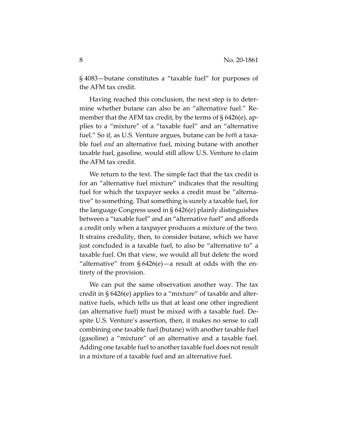§ 4083—butane constitutes a "taxable fuel" for purposes of the AFM tax credit.

Having reached this conclusion, the next step is to determine whether butane can also be an "alternative fuel." Remember that the AFM tax credit, by the terms of § 6426(e), applies to a "mixture" of a "taxable fuel" and an "alternative fuel." So if, as U.S. Venture argues, butane can be *both* a taxable fuel *and* an alternative fuel, mixing butane with another taxable fuel, gasoline, would still allow U.S. Venture to claim the AFM tax credit.

We return to the text. The simple fact that the tax credit is for an "alternative fuel mixture" indicates that the resulting fuel for which the taxpayer seeks a credit must be "alternative" to something. That something is surely a taxable fuel, for the language Congress used in § 6426(e) plainly distinguishes between a "taxable fuel" and an "alternative fuel" and affords a credit only when a taxpayer produces a mixture of the two. It strains credulity, then, to consider butane, which we have just concluded is a taxable fuel, to also be "alternative to" a taxable fuel. On that view, we would all but delete the word "alternative" from  $\S 6426(e)$  – a result at odds with the entirety of the provision.

We can put the same observation another way. The tax credit in § 6426(e) applies to a "mixture" of taxable and alternative fuels, which tells us that at least one other ingredient (an alternative fuel) must be mixed with a taxable fuel. Despite U.S. Venture's assertion, then, it makes no sense to call combining one taxable fuel (butane) with another taxable fuel (gasoline) a "mixture" of an alternative and a taxable fuel. Adding one taxable fuel to another taxable fuel does not result in a mixture of a taxable fuel and an alternative fuel.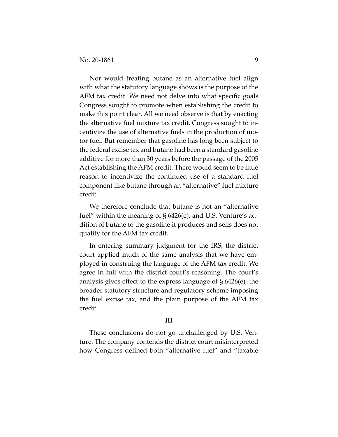Nor would treating butane as an alternative fuel align with what the statutory language shows is the purpose of the AFM tax credit. We need not delve into what specific goals Congress sought to promote when establishing the credit to make this point clear. All we need observe is that by enacting the alternative fuel mixture tax credit, Congress sought to incentivize the use of alternative fuels in the production of motor fuel. But remember that gasoline has long been subject to the federal excise tax and butane had been a standard gasoline additive for more than 30 years before the passage of the 2005 Act establishing the AFM credit. There would seem to be little reason to incentivize the continued use of a standard fuel component like butane through an "alternative" fuel mixture credit.

We therefore conclude that butane is not an "alternative fuel" within the meaning of § 6426(e), and U.S. Venture's addition of butane to the gasoline it produces and sells does not qualify for the AFM tax credit.

In entering summary judgment for the IRS, the district court applied much of the same analysis that we have employed in construing the language of the AFM tax credit. We agree in full with the district court's reasoning. The court's analysis gives effect to the express language of § 6426(e), the broader statutory structure and regulatory scheme imposing the fuel excise tax, and the plain purpose of the AFM tax credit.

#### **III**

These conclusions do not go unchallenged by U.S. Venture. The company contends the district court misinterpreted how Congress defined both "alternative fuel" and "taxable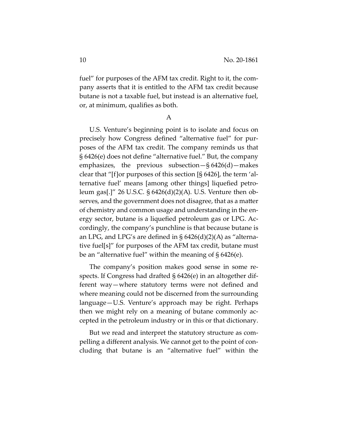fuel" for purposes of the AFM tax credit. Right to it, the company asserts that it is entitled to the AFM tax credit because butane is not a taxable fuel, but instead is an alternative fuel, or, at minimum, qualifies as both.

A

U.S. Venture's beginning point is to isolate and focus on precisely how Congress defined "alternative fuel" for purposes of the AFM tax credit. The company reminds us that § 6426(e) does not define "alternative fuel." But, the company emphasizes, the previous subsection $-\frac{6}{9}6426(d)$  makes clear that "[f]or purposes of this section [§ 6426], the term 'alternative fuel' means [among other things] liquefied petroleum gas[.]" 26 U.S.C. § 6426(d)(2)(A). U.S. Venture then observes, and the government does not disagree, that as a matter of chemistry and common usage and understanding in the energy sector, butane is a liquefied petroleum gas or LPG. Accordingly, the company's punchline is that because butane is an LPG, and LPG's are defined in  $\S$  6426(d)(2)(A) as "alternative fuel[s]" for purposes of the AFM tax credit, butane must be an "alternative fuel" within the meaning of § 6426(e).

The company's position makes good sense in some respects. If Congress had drafted § 6426(e) in an altogether different way—where statutory terms were not defined and where meaning could not be discerned from the surrounding language—U.S. Venture's approach may be right. Perhaps then we might rely on a meaning of butane commonly accepted in the petroleum industry or in this or that dictionary.

But we read and interpret the statutory structure as compelling a different analysis. We cannot get to the point of concluding that butane is an "alternative fuel" within the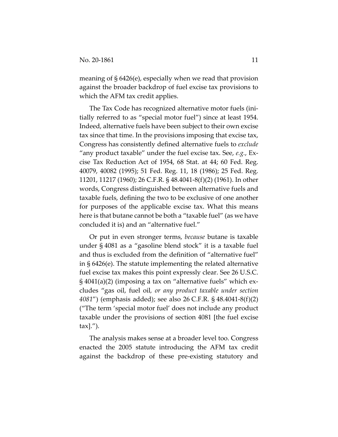meaning of § 6426(e), especially when we read that provision against the broader backdrop of fuel excise tax provisions to which the AFM tax credit applies.

The Tax Code has recognized alternative motor fuels (initially referred to as "special motor fuel") since at least 1954. Indeed, alternative fuels have been subject to their own excise tax since that time. In the provisions imposing that excise tax, Congress has consistently defined alternative fuels to *exclude* "any product taxable" under the fuel excise tax. See, *e.g.*, Excise Tax Reduction Act of 1954, 68 Stat. at 44; 60 Fed. Reg. 40079, 40082 (1995); 51 Fed. Reg. 11, 18 (1986); 25 Fed. Reg. 11201, 11217 (1960); 26 C.F.R. § 48.4041-8(f)(2) (1961). In other words, Congress distinguished between alternative fuels and taxable fuels, defining the two to be exclusive of one another for purposes of the applicable excise tax. What this means here is that butane cannot be both a "taxable fuel" (as we have concluded it is) and an "alternative fuel."

Or put in even stronger terms, *because* butane is taxable under § 4081 as a "gasoline blend stock" it is a taxable fuel and thus is excluded from the definition of "alternative fuel" in § 6426(e). The statute implementing the related alternative fuel excise tax makes this point expressly clear. See 26 U.S.C. § 4041(a)(2) (imposing a tax on "alternative fuels" which excludes "gas oil, fuel oil*, or any product taxable under section 4081*") (emphasis added); see also 26 C.F.R. § 48.4041-8(f)(2) ("The term 'special motor fuel' does not include any product taxable under the provisions of section 4081 [the fuel excise tax].").

The analysis makes sense at a broader level too. Congress enacted the 2005 statute introducing the AFM tax credit against the backdrop of these pre-existing statutory and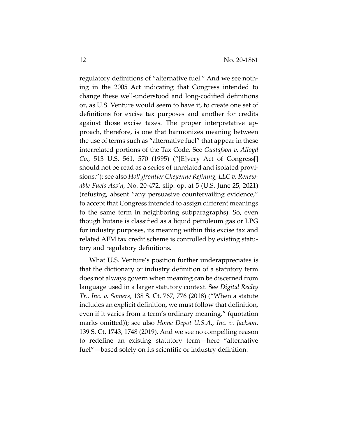regulatory definitions of "alternative fuel." And we see nothing in the 2005 Act indicating that Congress intended to change these well-understood and long-codified definitions or, as U.S. Venture would seem to have it, to create one set of definitions for excise tax purposes and another for credits against those excise taxes. The proper interpretative approach, therefore, is one that harmonizes meaning between the use of terms such as "alternative fuel" that appear in these interrelated portions of the Tax Code. See *Gustafson v. Alloyd Co.*, 513 U.S. 561, 570 (1995) ("[E]very Act of Congress[] should not be read as a series of unrelated and isolated provisions."); see also *Hollyfrontier Cheyenne Refining, LLC v. Renewable Fuels Ass'n*, No. 20-472, slip. op. at 5 (U.S. June 25, 2021) (refusing, absent "any persuasive countervailing evidence," to accept that Congress intended to assign different meanings to the same term in neighboring subparagraphs). So, even though butane is classified as a liquid petroleum gas or LPG for industry purposes, its meaning within this excise tax and related AFM tax credit scheme is controlled by existing statutory and regulatory definitions.

What U.S. Venture's position further underappreciates is that the dictionary or industry definition of a statutory term does not always govern when meaning can be discerned from language used in a larger statutory context. See *Digital Realty Tr., Inc. v. Somers*, 138 S. Ct. 767, 776 (2018) ("When a statute includes an explicit definition, we must follow that definition, even if it varies from a term's ordinary meaning." (quotation marks omitted)); see also *Home Depot U.S.A., Inc. v. Jackson*, 139 S. Ct. 1743, 1748 (2019). And we see no compelling reason to redefine an existing statutory term—here "alternative fuel"—based solely on its scientific or industry definition.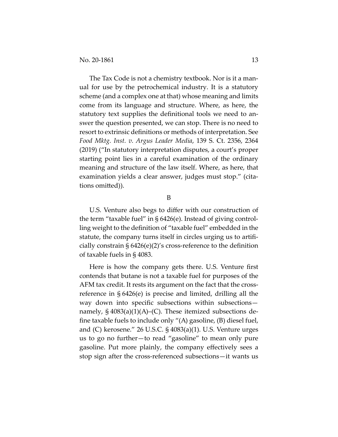The Tax Code is not a chemistry textbook. Nor is it a manual for use by the petrochemical industry. It is a statutory scheme (and a complex one at that) whose meaning and limits come from its language and structure. Where, as here, the statutory text supplies the definitional tools we need to answer the question presented, we can stop. There is no need to resort to extrinsic definitions or methods of interpretation. See *Food Mktg. Inst. v. Argus Leader Media*, 139 S. Ct. 2356, 2364 (2019) ("In statutory interpretation disputes, a court's proper starting point lies in a careful examination of the ordinary meaning and structure of the law itself. Where, as here, that examination yields a clear answer, judges must stop." (citations omitted)).

B

U.S. Venture also begs to differ with our construction of the term "taxable fuel" in § 6426(e). Instead of giving controlling weight to the definition of "taxable fuel" embedded in the statute, the company turns itself in circles urging us to artificially constrain § 6426(e)(2)'s cross-reference to the definition of taxable fuels in § 4083.

Here is how the company gets there. U.S. Venture first contends that butane is not a taxable fuel for purposes of the AFM tax credit. It rests its argument on the fact that the crossreference in § 6426(e) is precise and limited, drilling all the way down into specific subsections within subsections namely,  $\S$  4083(a)(1)(A)–(C). These itemized subsections define taxable fuels to include only "(A) gasoline, (B) diesel fuel, and (C) kerosene." 26 U.S.C. § 4083(a)(1). U.S. Venture urges us to go no further—to read "gasoline" to mean only pure gasoline. Put more plainly, the company effectively sees a stop sign after the cross-referenced subsections—it wants us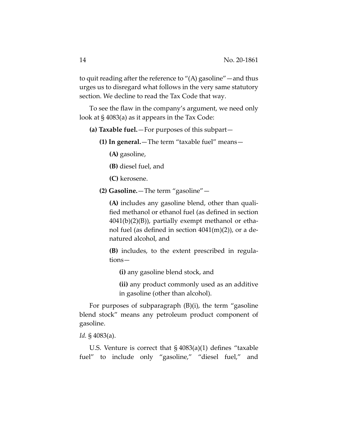to quit reading after the reference to "(A) gasoline"—and thus urges us to disregard what follows in the very same statutory section. We decline to read the Tax Code that way.

To see the flaw in the company's argument, we need only look at § 4083(a) as it appears in the Tax Code:

- **(a) Taxable fuel.**—For purposes of this subpart—
	- **(1) In general.**—The term "taxable fuel" means—

**(A)** gasoline,

**(B)** diesel fuel, and

**(C)** kerosene.

**(2) Gasoline.**—The term "gasoline"—

**(A)** includes any gasoline blend, other than qualified methanol or ethanol fuel (as defined in section  $4041(b)(2)(B)$ , partially exempt methanol or ethanol fuel (as defined in section  $4041(m)(2)$ ), or a denatured alcohol, and

**(B)** includes, to the extent prescribed in regulations—

**(i)** any gasoline blend stock, and

**(ii)** any product commonly used as an additive in gasoline (other than alcohol).

For purposes of subparagraph (B)(i), the term "gasoline blend stock" means any petroleum product component of gasoline.

*Id.* § 4083(a).

U.S. Venture is correct that  $\S$  4083(a)(1) defines "taxable fuel" to include only "gasoline," "diesel fuel," and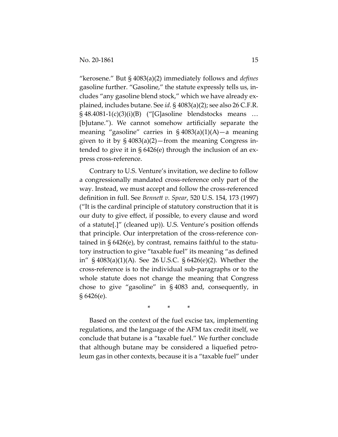"kerosene." But § 4083(a)(2) immediately follows and *defines* gasoline further. "Gasoline," the statute expressly tells us, includes "any gasoline blend stock," which we have already explained, includes butane. See *id.* § 4083(a)(2); see also 26 C.F.R.  $\S$  48.4081-1(c)(3)(i)(B) ("[G]asoline blendstocks means ... [b]utane."). We cannot somehow artificially separate the meaning "gasoline" carries in  $\S 4083(a)(1)(A)$ —a meaning given to it by § 4083(a)(2)—from the meaning Congress intended to give it in § 6426(e) through the inclusion of an express cross-reference.

Contrary to U.S. Venture's invitation, we decline to follow a congressionally mandated cross-reference only part of the way. Instead, we must accept and follow the cross-referenced definition in full. See *Bennett v. Spear*, 520 U.S. 154, 173 (1997) ("It is the cardinal principle of statutory construction that it is our duty to give effect, if possible, to every clause and word of a statute[.]" (cleaned up)). U.S. Venture's position offends that principle. Our interpretation of the cross-reference contained in § 6426(e), by contrast, remains faithful to the statutory instruction to give "taxable fuel" its meaning "as defined in" § 4083(a)(1)(A). See 26 U.S.C. § 6426(e)(2). Whether the cross-reference is to the individual sub-paragraphs or to the whole statute does not change the meaning that Congress chose to give "gasoline" in § 4083 and, consequently, in § 6426(e).

\* \* \*

Based on the context of the fuel excise tax, implementing regulations, and the language of the AFM tax credit itself, we conclude that butane is a "taxable fuel." We further conclude that although butane may be considered a liquefied petroleum gas in other contexts, because it is a "taxable fuel" under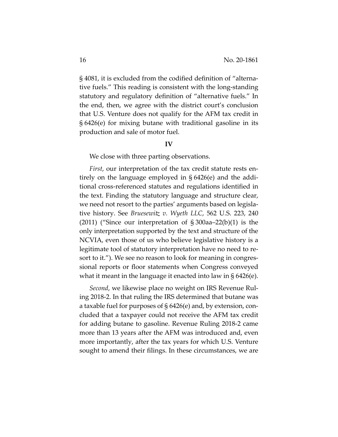§ 4081, it is excluded from the codified definition of "alternative fuels." This reading is consistent with the long-standing statutory and regulatory definition of "alternative fuels." In the end, then, we agree with the district court's conclusion that U.S. Venture does not qualify for the AFM tax credit in § 6426(e) for mixing butane with traditional gasoline in its production and sale of motor fuel.

### **IV**

We close with three parting observations.

*First*, our interpretation of the tax credit statute rests entirely on the language employed in § 6426(e) and the additional cross-referenced statutes and regulations identified in the text. Finding the statutory language and structure clear, we need not resort to the parties' arguments based on legislative history. See *Bruesewitz v. Wyeth LLC*, 562 U.S. 223, 240 (2011) ("Since our interpretation of  $\S 300aa - 22(b)(1)$  is the only interpretation supported by the text and structure of the NCVIA, even those of us who believe legislative history is a legitimate tool of statutory interpretation have no need to resort to it."). We see no reason to look for meaning in congressional reports or floor statements when Congress conveyed what it meant in the language it enacted into law in § 6426(e).

*Second*, we likewise place no weight on IRS Revenue Ruling 2018-2. In that ruling the IRS determined that butane was a taxable fuel for purposes of § 6426(e) and, by extension, concluded that a taxpayer could not receive the AFM tax credit for adding butane to gasoline. Revenue Ruling 2018-2 came more than 13 years after the AFM was introduced and, even more importantly, after the tax years for which U.S. Venture sought to amend their filings. In these circumstances, we are